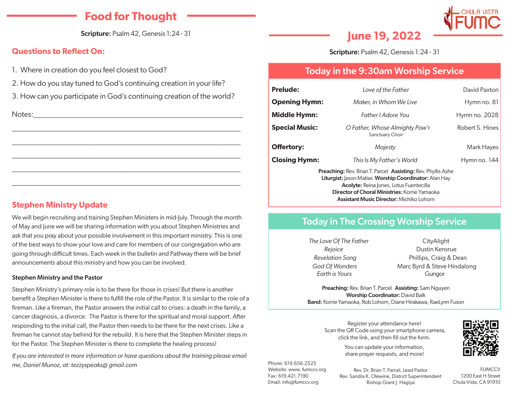# **Food for Thought**

Scripture: Psalm 42, Genesis 1:24 - 31

### **Questions to Reflect On:**

- 1. Where in creation do you feel closest to God?
- 2. How do you stay tuned to God's continuing creation in your life?
- 3. How can you participate in God's continuing creation of the world?

\_\_\_\_\_\_\_\_\_\_\_\_\_\_\_\_\_\_\_\_\_\_\_\_\_\_\_\_\_\_\_\_\_\_\_\_\_\_\_\_\_\_\_\_\_\_\_\_\_\_\_\_\_\_\_\_\_\_\_

\_\_\_\_\_\_\_\_\_\_\_\_\_\_\_\_\_\_\_\_\_\_\_\_\_\_\_\_\_\_\_\_\_\_\_\_\_\_\_\_\_\_\_\_\_\_\_\_\_\_\_\_\_\_\_\_\_\_\_

\_\_\_\_\_\_\_\_\_\_\_\_\_\_\_\_\_\_\_\_\_\_\_\_\_\_\_\_\_\_\_\_\_\_\_\_\_\_\_\_\_\_\_\_\_\_\_\_\_\_\_\_\_\_\_\_\_\_\_

\_\_\_\_\_\_\_\_\_\_\_\_\_\_\_\_\_\_\_\_\_\_\_\_\_\_\_\_\_\_\_\_\_\_\_\_\_\_\_\_\_\_\_\_\_\_\_\_\_\_\_\_\_\_\_\_\_\_\_

\_\_\_\_\_\_\_\_\_\_\_\_\_\_\_\_\_\_\_\_\_\_\_\_\_\_\_\_\_\_\_\_\_\_\_\_\_\_\_\_\_\_\_\_\_\_\_\_\_\_\_\_\_\_\_\_\_\_\_

Notes:\_\_\_\_\_\_\_\_\_\_\_\_\_\_\_\_\_\_\_\_\_\_\_\_\_\_\_\_\_\_\_\_\_\_\_\_\_\_\_\_\_\_\_\_\_\_\_\_\_\_\_\_\_\_

### **Stephen Ministry Update**

We will begin recruiting and training Stephen Ministers in mid-July. Through the month of May and June we will be sharing information with you about Stephen Ministries and ask that you pray about your possible involvement in this important ministry. This is one of the best ways to show your love and care for members of our congregation who are going through difficult times. Each week in the bulletin and Pathway there will be brief announcements about this ministry and how you can be involved.

#### Stephen Ministry and the Pastor

Stephen Ministry's primary role is to be there for those in crises! But there is another benefit a Stephen Minister is there to fulfill the role of the Pastor. It is similar to the role of a fireman. Like a fireman, the Pastor answers the initial call to crises: a death in the family, a cancer diagnosis, a divorce. The Pastor is there for the spiritual and moral support. After responding to the initial call, the Pastor then needs to be there for the next crises. Like a fireman he cannot stay behind for the rebuild. It is here that the Stephen Minister steps in for the Pastor. The Stephen Minister is there to complete the healing process!

*If you are interested in more information or have questions about the training please email me, Daniel Munoz, at: tezzyspeaks@ gmail.com*

**June 19, 2022**

Scripture: Psalm 42, Genesis 1:24 - 31

## Today in the 9:30am Worship Service

| <b>Prelude:</b>                                                                                                                                                                                                                                                                                         | Love of the Father                                | David Paxton    |
|---------------------------------------------------------------------------------------------------------------------------------------------------------------------------------------------------------------------------------------------------------------------------------------------------------|---------------------------------------------------|-----------------|
| <b>Opening Hymn:</b>                                                                                                                                                                                                                                                                                    | Maker, in Whom We Live                            | Hymn no. 81     |
| <b>Middle Hymn:</b>                                                                                                                                                                                                                                                                                     | Father <i>Adore</i> You                           | Hymn no. 2028   |
| <b>Special Music:</b>                                                                                                                                                                                                                                                                                   | O Father, Whose Almighty Pow'r<br>Sanctuary Choir | Robert S. Hines |
| <b>Offertory:</b>                                                                                                                                                                                                                                                                                       | Majesty                                           | Mark Hayes      |
| <b>Closing Hymn:</b>                                                                                                                                                                                                                                                                                    | This Is My Father's World                         | Hymn no. 144    |
| <b>Preaching: Rev. Brian T. Parcel Assisting: Rev. Phyllis Ashe</b><br><b>Liturgist:</b> Jason Matias <b>Worship Coordinator:</b> Alan Hay<br><b>Acolyte:</b> Reina Jones, Lotus Fuentecilla<br><b>Director of Choral Ministries: Korrie Yamaoka</b><br><b>Assistant Music Director: Michiko Lohorn</b> |                                                   |                 |

### Today in The Crossing Worship Service

**The Love Of The Father** CityAlight *Rejoice* Dustin Kensrue *Revelation Song* Phillips, Craig & Dean *God Of Wonders* Marc Byrd & Steve Hindalong *Earth is Yours* Gungor

Preaching: Rev. Brian T. Parcel Assisting: Sam Nguyen Worship Coordinator: David Balk Band: Korrie Yamaoka, Rob Lohorn, Diane Hirakawa, RaeLynn Fuson

Register your attendance here! Scan the QR Code using your smartphone camera, click the link, and then fill out the form.

> You can update your information, share prayer requests, and more!

Phone: 619.656.2525 Website: www. fumccv.org Fax: 619.421.7190 Email: info@fumccv.org

Rev. Dr. Brian T. Parcel, Lead Pastor Rev. Sandra K. Olewine, District Superintendent Bishop Grant J. Hagiya

**FUMCCV** 1200 East H Street Chula Vista, CA 91910